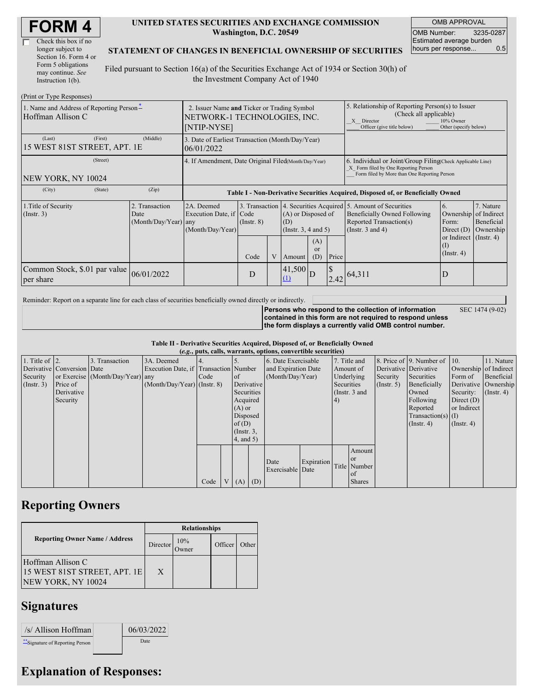| <b>FORM4</b> |
|--------------|
|--------------|

| Check this box if no  |
|-----------------------|
| longer subject to     |
| Section 16. Form 4 or |
| Form 5 obligations    |
| may continue. See     |
| Instruction 1(b).     |

#### **UNITED STATES SECURITIES AND EXCHANGE COMMISSION Washington, D.C. 20549**

OMB APPROVAL OMB Number: 3235-0287 Estimated average burden hours per response... 0.5

SEC 1474 (9-02)

### **STATEMENT OF CHANGES IN BENEFICIAL OWNERSHIP OF SECURITIES**

Filed pursuant to Section 16(a) of the Securities Exchange Act of 1934 or Section 30(h) of the Investment Company Act of 1940

| (Print or Type Responses)                                     |                                                                                            |                                                                                  |                         |  |                                                                                                |   |                                                                                                                                                              |                                                                                                                                                   |                                                                                                     |                                                     |  |
|---------------------------------------------------------------|--------------------------------------------------------------------------------------------|----------------------------------------------------------------------------------|-------------------------|--|------------------------------------------------------------------------------------------------|---|--------------------------------------------------------------------------------------------------------------------------------------------------------------|---------------------------------------------------------------------------------------------------------------------------------------------------|-----------------------------------------------------------------------------------------------------|-----------------------------------------------------|--|
| 1. Name and Address of Reporting Person-<br>Hoffman Allison C | 2. Issuer Name and Ticker or Trading Symbol<br>NETWORK-1 TECHNOLOGIES, INC.<br>[NTIP-NYSE] |                                                                                  |                         |  |                                                                                                |   | 5. Relationship of Reporting Person(s) to Issuer<br>(Check all applicable)<br>10% Owner<br>X Director<br>Other (specify below)<br>Officer (give title below) |                                                                                                                                                   |                                                                                                     |                                                     |  |
| (First)<br>(Last)<br>15 WEST 81ST STREET, APT. 1E             | 3. Date of Earliest Transaction (Month/Day/Year)<br>06/01/2022                             |                                                                                  |                         |  |                                                                                                |   |                                                                                                                                                              |                                                                                                                                                   |                                                                                                     |                                                     |  |
| (Street)<br>NEW YORK, NY 10024                                | 4. If Amendment, Date Original Filed(Month/Day/Year)                                       |                                                                                  |                         |  |                                                                                                |   | 6. Individual or Joint/Group Filing Check Applicable Line)<br>X Form filed by One Reporting Person<br>Form filed by More than One Reporting Person           |                                                                                                                                                   |                                                                                                     |                                                     |  |
| (City)<br>(State)                                             | (Zip)                                                                                      | Table I - Non-Derivative Securities Acquired, Disposed of, or Beneficially Owned |                         |  |                                                                                                |   |                                                                                                                                                              |                                                                                                                                                   |                                                                                                     |                                                     |  |
| 1. Title of Security<br>(Insert. 3)                           | 2. Transaction<br>Date<br>(Month/Day/Year) any                                             | 2A. Deemed<br>Execution Date, if Code<br>(Month/Day/Year)                        | $($ Instr. $8)$<br>Code |  | $(A)$ or Disposed of<br>(D)<br>$($ Instr. 3, 4 and 5)<br>(A)<br><sub>or</sub><br>(D)<br>Amount |   | Price                                                                                                                                                        | 3. Transaction 4. Securities Acquired 5. Amount of Securities<br>Beneficially Owned Following<br>Reported Transaction(s)<br>(Instr. $3$ and $4$ ) | 6.<br>Ownership<br>Form:<br>Direct $(D)$<br>or Indirect $($ Instr. 4 $)$<br>(I)<br>$($ Instr. 4 $)$ | 7. Nature<br>of Indirect<br>Beneficial<br>Ownership |  |
| Common Stock, \$.01 par value<br>per share                    | 06/01/2022                                                                                 |                                                                                  | D                       |  | 41,500<br>(1)                                                                                  | D |                                                                                                                                                              | 12.42 64,311                                                                                                                                      | D                                                                                                   |                                                     |  |

Reminder: Report on a separate line for each class of securities beneficially owned directly or indirectly.

**Persons who respond to the collection of information contained in this form are not required to respond unless the form displays a currently valid OMB control number.**

**Table II - Derivative Securities Acquired, Disposed of, or Beneficially Owned**

| (e.g., puts, calls, warrants, options, convertible securities) |                            |                                  |                                       |      |          |                 |          |                     |            |               |               |                  |                              |                       |                      |
|----------------------------------------------------------------|----------------------------|----------------------------------|---------------------------------------|------|----------|-----------------|----------|---------------------|------------|---------------|---------------|------------------|------------------------------|-----------------------|----------------------|
| 1. Title of $\vert$ 2.                                         |                            | 3. Transaction                   | 3A. Deemed                            |      |          |                 |          | 6. Date Exercisable |            | 7. Title and  |               |                  | 8. Price of 9. Number of 10. |                       | 11. Nature           |
|                                                                | Derivative Conversion Date |                                  | Execution Date, if Transaction Number |      |          |                 |          | and Expiration Date |            | Amount of     |               |                  | Derivative Derivative        | Ownership of Indirect |                      |
| Security                                                       |                            | or Exercise (Month/Day/Year) any |                                       | Code |          | <sub>of</sub>   |          | (Month/Day/Year)    |            | Underlying    |               | Security         | Securities                   | Form of               | Beneficial           |
| (Insert. 3)                                                    | Price of                   |                                  | $(Month/Day/Year)$ (Instr. 8)         |      |          | Derivative      |          |                     |            | Securities    |               | (Insert, 5)      | Beneficially                 |                       | Derivative Ownership |
|                                                                | Derivative                 |                                  |                                       |      |          | Securities      |          |                     |            | (Instr. 3 and |               |                  | Owned                        | Security:             | $($ Instr. 4)        |
|                                                                | Security                   |                                  |                                       |      |          |                 | Acquired |                     |            | (4)           |               |                  | Following                    | Direct $(D)$          |                      |
|                                                                |                            |                                  |                                       |      | $(A)$ or |                 |          |                     |            |               | Reported      | or Indirect      |                              |                       |                      |
|                                                                |                            |                                  |                                       |      | Disposed |                 |          |                     |            |               |               |                  | $Transaction(s)$ (I)         |                       |                      |
|                                                                |                            |                                  |                                       |      | of $(D)$ |                 |          |                     |            |               |               | $($ Instr. 4 $)$ | $($ Instr. 4 $)$             |                       |                      |
|                                                                |                            |                                  |                                       |      |          | $($ Instr. $3,$ |          |                     |            |               |               |                  |                              |                       |                      |
|                                                                |                            |                                  |                                       |      |          | 4, and 5)       |          |                     |            |               |               |                  |                              |                       |                      |
|                                                                |                            |                                  |                                       |      |          |                 |          |                     |            |               | Amount        |                  |                              |                       |                      |
|                                                                |                            |                                  |                                       |      |          |                 |          | Date                | Expiration |               | <b>or</b>     |                  |                              |                       |                      |
|                                                                |                            |                                  |                                       |      |          |                 |          | Exercisable Date    |            |               | Title Number  |                  |                              |                       |                      |
|                                                                |                            |                                  |                                       |      |          |                 |          |                     |            |               | of            |                  |                              |                       |                      |
|                                                                |                            |                                  |                                       | Code |          | $V(A)$ (D)      |          |                     |            |               | <b>Shares</b> |                  |                              |                       |                      |

## **Reporting Owners**

|                                                                                | <b>Relationships</b> |                 |         |       |  |  |  |
|--------------------------------------------------------------------------------|----------------------|-----------------|---------|-------|--|--|--|
| <b>Reporting Owner Name / Address</b>                                          | Director             | 10%<br><b>T</b> | Officer | Other |  |  |  |
| Hoffman Allison C<br>15 WEST 81ST STREET, APT. 1E<br><b>NEW YORK, NY 10024</b> | X                    |                 |         |       |  |  |  |

# **Signatures**

| /s/ Allison Hoffman              | 06/03/2022 |  |
|----------------------------------|------------|--|
| ** Signature of Reporting Person | Date       |  |

# **Explanation of Responses:**